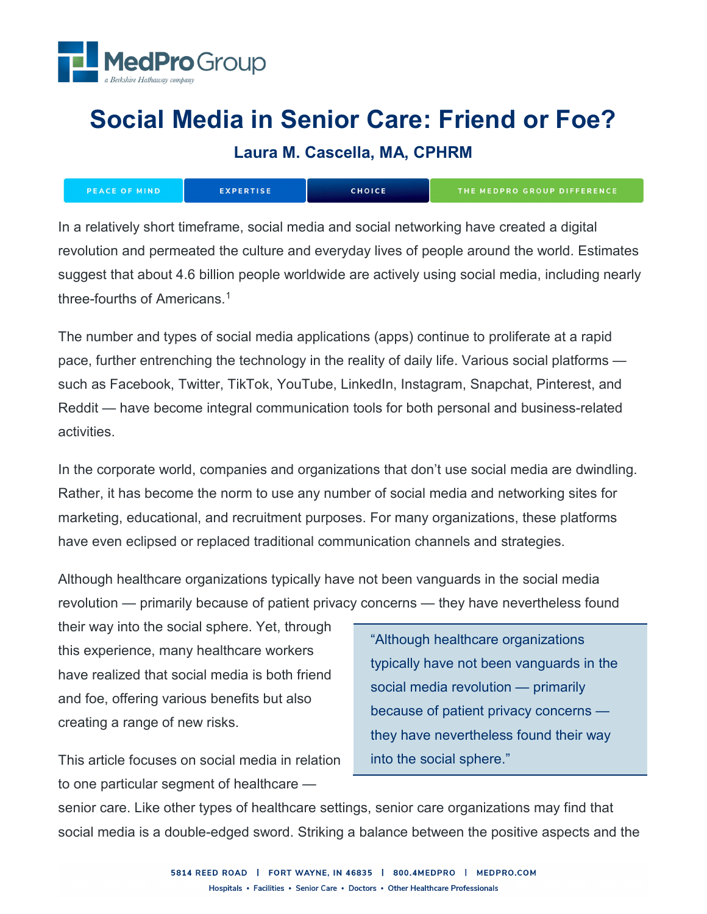

# **Social Media in Senior Care: Friend or Foe?**

**Laura M. Cascella, MA, CPHRM**

| <b>IPEACE OF MIND'</b> | <b>EXPERTISE</b> | <b>CHOICE</b> | <b>THE MEDPRO GROUP DIFFERENCE</b> |
|------------------------|------------------|---------------|------------------------------------|
|------------------------|------------------|---------------|------------------------------------|

In a relatively short timeframe, social media and social networking have created a digital revolution and permeated the culture and everyday lives of people around the world. Estimates suggest that about 4.6 billion people worldwide are actively using social media, including nearly three-fourths of Americans.[1](#page-10-0)

The number and types of social media applications (apps) continue to proliferate at a rapid pace, further entrenching the technology in the reality of daily life. Various social platforms such as Facebook, Twitter, TikTok, YouTube, LinkedIn, Instagram, Snapchat, Pinterest, and Reddit — have become integral communication tools for both personal and business-related activities.

In the corporate world, companies and organizations that don't use social media are dwindling. Rather, it has become the norm to use any number of social media and networking sites for marketing, educational, and recruitment purposes. For many organizations, these platforms have even eclipsed or replaced traditional communication channels and strategies.

Although healthcare organizations typically have not been vanguards in the social media revolution — primarily because of patient privacy concerns — they have nevertheless found

their way into the social sphere. Yet, through this experience, many healthcare workers have realized that social media is both friend and foe, offering various benefits but also creating a range of new risks.

This article focuses on social media in relation to one particular segment of healthcare —

"Although healthcare organizations typically have not been vanguards in the social media revolution — primarily because of patient privacy concerns they have nevertheless found their way into the social sphere."

senior care. Like other types of healthcare settings, senior care organizations may find that social media is a double-edged sword. Striking a balance between the positive aspects and the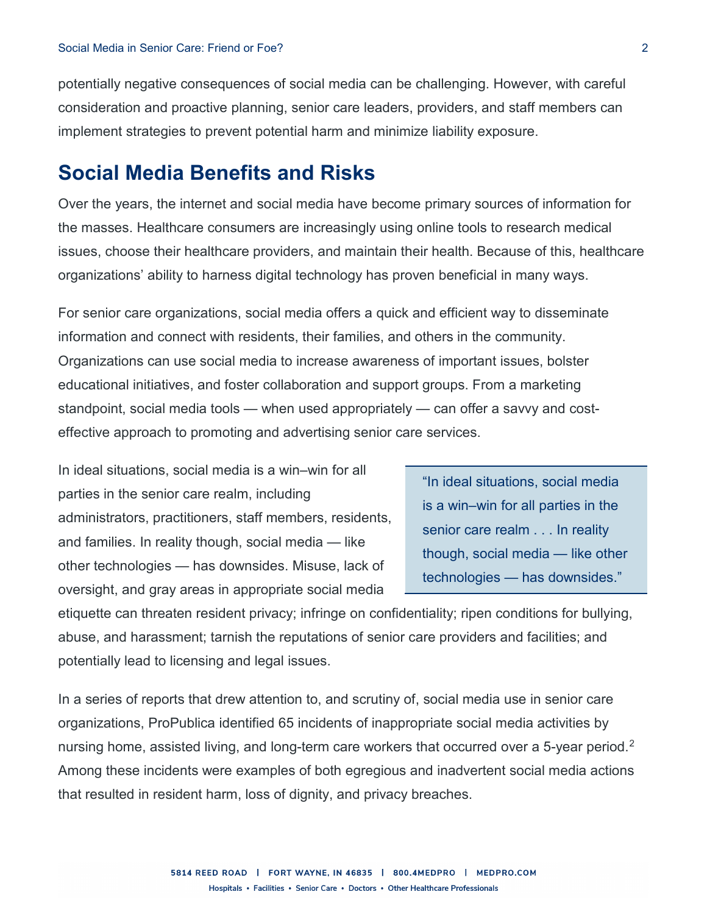potentially negative consequences of social media can be challenging. However, with careful consideration and proactive planning, senior care leaders, providers, and staff members can implement strategies to prevent potential harm and minimize liability exposure.

# **Social Media Benefits and Risks**

Over the years, the internet and social media have become primary sources of information for the masses. Healthcare consumers are increasingly using online tools to research medical issues, choose their healthcare providers, and maintain their health. Because of this, healthcare organizations' ability to harness digital technology has proven beneficial in many ways.

For senior care organizations, social media offers a quick and efficient way to disseminate information and connect with residents, their families, and others in the community. Organizations can use social media to increase awareness of important issues, bolster educational initiatives, and foster collaboration and support groups. From a marketing standpoint, social media tools — when used appropriately — can offer a savvy and costeffective approach to promoting and advertising senior care services.

In ideal situations, social media is a win–win for all parties in the senior care realm, including administrators, practitioners, staff members, residents, and families. In reality though, social media — like other technologies — has downsides. Misuse, lack of oversight, and gray areas in appropriate social media

"In ideal situations, social media is a win–win for all parties in the senior care realm . . . In reality though, social media — like other technologies — has downsides."

etiquette can threaten resident privacy; infringe on confidentiality; ripen conditions for bullying, abuse, and harassment; tarnish the reputations of senior care providers and facilities; and potentially lead to licensing and legal issues.

In a series of reports that drew attention to, and scrutiny of, social media use in senior care organizations, ProPublica identified 65 incidents of inappropriate social media activities by nursing home, assisted living, and long-term care workers that occurred over a 5-year period.<sup>[2](#page-10-1)</sup> Among these incidents were examples of both egregious and inadvertent social media actions that resulted in resident harm, loss of dignity, and privacy breaches.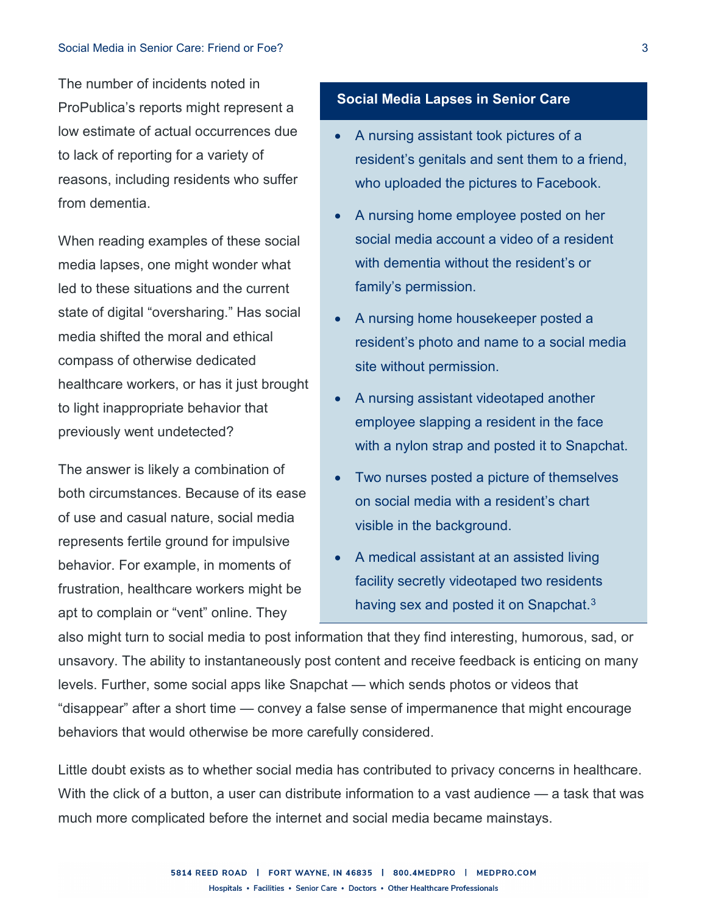The number of incidents noted in ProPublica's reports might represent a low estimate of actual occurrences due to lack of reporting for a variety of reasons, including residents who suffer from dementia.

When reading examples of these social media lapses, one might wonder what led to these situations and the current state of digital "oversharing." Has social media shifted the moral and ethical compass of otherwise dedicated healthcare workers, or has it just brought to light inappropriate behavior that previously went undetected?

The answer is likely a combination of both circumstances. Because of its ease of use and casual nature, social media represents fertile ground for impulsive behavior. For example, in moments of frustration, healthcare workers might be apt to complain or "vent" online. They

### **Social Media Lapses in Senior Care**

- A nursing assistant took pictures of a resident's genitals and sent them to a friend, who uploaded the pictures to Facebook.
- A nursing home employee posted on her social media account a video of a resident with dementia without the resident's or family's permission.
- A nursing home housekeeper posted a resident's photo and name to a social media site without permission.
- A nursing assistant videotaped another employee slapping a resident in the face with a nylon strap and posted it to Snapchat.
- Two nurses posted a picture of themselves on social media with a resident's chart visible in the background.
- A medical assistant at an assisted living facility secretly videotaped two residents having sex and posted it on Snapchat. $3$

also might turn to social media to post information that they find interesting, humorous, sad, or unsavory. The ability to instantaneously post content and receive feedback is enticing on many levels. Further, some social apps like Snapchat — which sends photos or videos that "disappear" after a short time — convey a false sense of impermanence that might encourage behaviors that would otherwise be more carefully considered.

Little doubt exists as to whether social media has contributed to privacy concerns in healthcare. With the click of a button, a user can distribute information to a vast audience — a task that was much more complicated before the internet and social media became mainstays.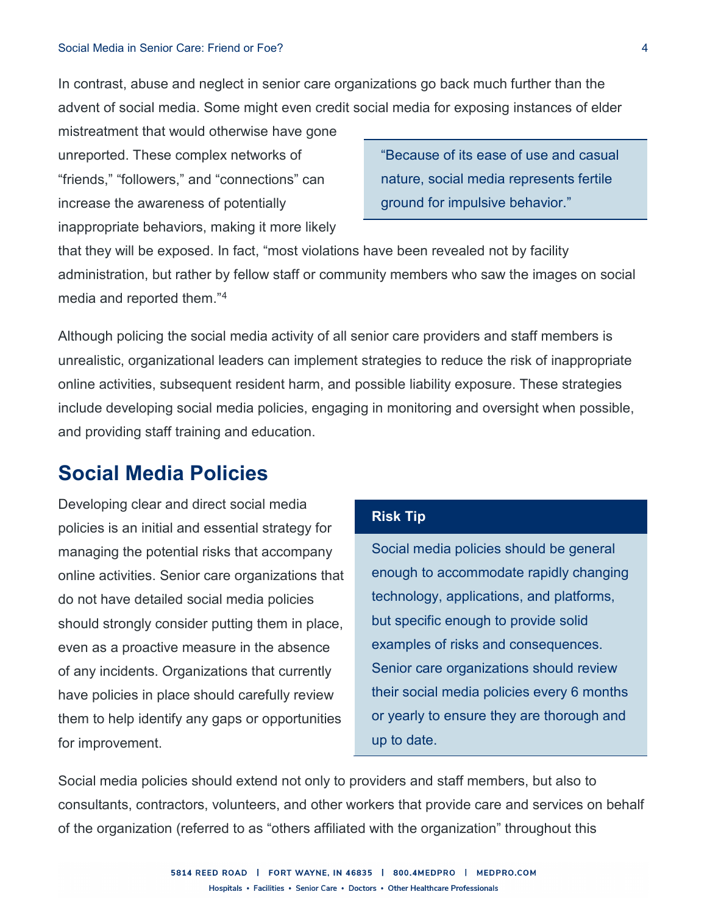#### Social Media in Senior Care: Friend or Foe? 4

In contrast, abuse and neglect in senior care organizations go back much further than the advent of social media. Some might even credit social media for exposing instances of elder

mistreatment that would otherwise have gone unreported. These complex networks of "friends," "followers," and "connections" can increase the awareness of potentially inappropriate behaviors, making it more likely

"Because of its ease of use and casual nature, social media represents fertile ground for impulsive behavior."

that they will be exposed. In fact, "most violations have been revealed not by facility administration, but rather by fellow staff or community members who saw the images on social media and reported them."[4](#page-11-1)

Although policing the social media activity of all senior care providers and staff members is unrealistic, organizational leaders can implement strategies to reduce the risk of inappropriate online activities, subsequent resident harm, and possible liability exposure. These strategies include developing social media policies, engaging in monitoring and oversight when possible, and providing staff training and education.

# **Social Media Policies**

Developing clear and direct social media policies is an initial and essential strategy for managing the potential risks that accompany online activities. Senior care organizations that do not have detailed social media policies should strongly consider putting them in place, even as a proactive measure in the absence of any incidents. Organizations that currently have policies in place should carefully review them to help identify any gaps or opportunities for improvement.

### **Risk Tip**

Social media policies should be general enough to accommodate rapidly changing technology, applications, and platforms, but specific enough to provide solid examples of risks and consequences. Senior care organizations should review their social media policies every 6 months or yearly to ensure they are thorough and up to date.

Social media policies should extend not only to providers and staff members, but also to consultants, contractors, volunteers, and other workers that provide care and services on behalf of the organization (referred to as "others affiliated with the organization" throughout this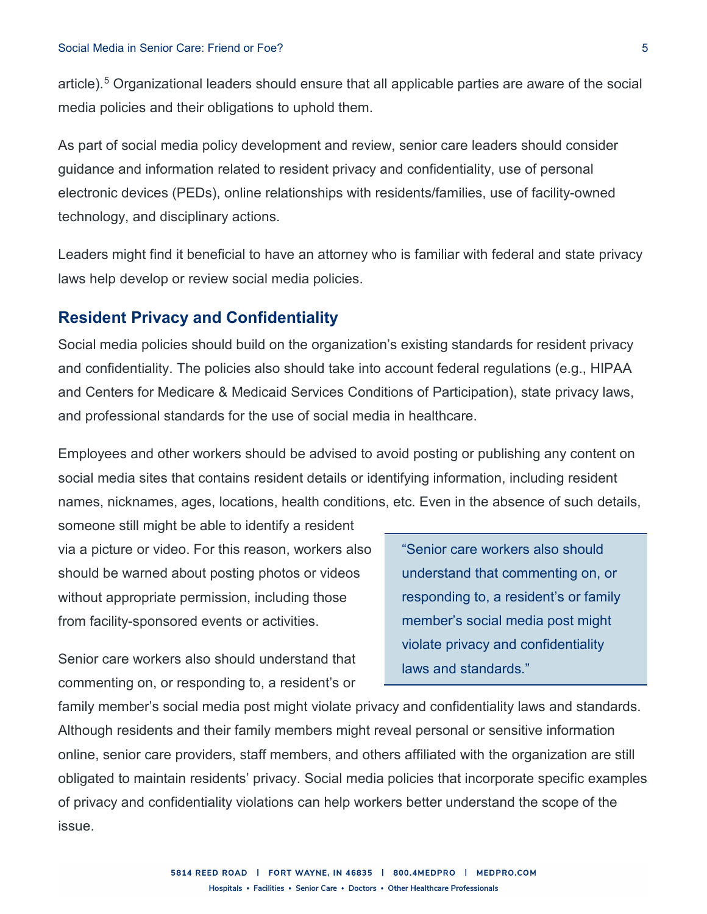article). [5](#page-11-2) Organizational leaders should ensure that all applicable parties are aware of the social media policies and their obligations to uphold them.

As part of social media policy development and review, senior care leaders should consider guidance and information related to resident privacy and confidentiality, use of personal electronic devices (PEDs), online relationships with residents/families, use of facility-owned technology, and disciplinary actions.

Leaders might find it beneficial to have an attorney who is familiar with federal and state privacy laws help develop or review social media policies.

### **Resident Privacy and Confidentiality**

Social media policies should build on the organization's existing standards for resident privacy and confidentiality. The policies also should take into account federal regulations (e.g., HIPAA and Centers for Medicare & Medicaid Services Conditions of Participation), state privacy laws, and professional standards for the use of social media in healthcare.

Employees and other workers should be advised to avoid posting or publishing any content on social media sites that contains resident details or identifying information, including resident names, nicknames, ages, locations, health conditions, etc. Even in the absence of such details,

someone still might be able to identify a resident via a picture or video. For this reason, workers also should be warned about posting photos or videos without appropriate permission, including those from facility-sponsored events or activities.

Senior care workers also should understand that commenting on, or responding to, a resident's or

"Senior care workers also should understand that commenting on, or responding to, a resident's or family member's social media post might violate privacy and confidentiality laws and standards."

family member's social media post might violate privacy and confidentiality laws and standards. Although residents and their family members might reveal personal or sensitive information online, senior care providers, staff members, and others affiliated with the organization are still obligated to maintain residents' privacy. Social media policies that incorporate specific examples of privacy and confidentiality violations can help workers better understand the scope of the issue.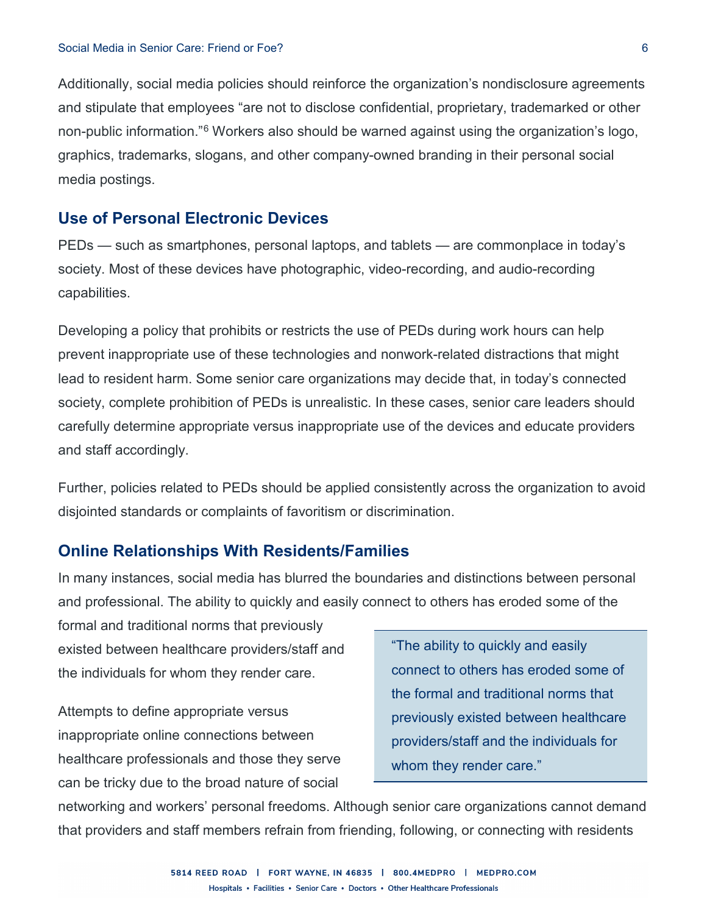Additionally, social media policies should reinforce the organization's nondisclosure agreements and stipulate that employees "are not to disclose confidential, proprietary, trademarked or other non-public information."[6](#page-11-3) Workers also should be warned against using the organization's logo, graphics, trademarks, slogans, and other company-owned branding in their personal social media postings.

### **Use of Personal Electronic Devices**

PEDs — such as smartphones, personal laptops, and tablets — are commonplace in today's society. Most of these devices have photographic, video-recording, and audio-recording capabilities.

Developing a policy that prohibits or restricts the use of PEDs during work hours can help prevent inappropriate use of these technologies and nonwork-related distractions that might lead to resident harm. Some senior care organizations may decide that, in today's connected society, complete prohibition of PEDs is unrealistic. In these cases, senior care leaders should carefully determine appropriate versus inappropriate use of the devices and educate providers and staff accordingly.

Further, policies related to PEDs should be applied consistently across the organization to avoid disjointed standards or complaints of favoritism or discrimination.

### **Online Relationships With Residents/Families**

In many instances, social media has blurred the boundaries and distinctions between personal and professional. The ability to quickly and easily connect to others has eroded some of the

formal and traditional norms that previously existed between healthcare providers/staff and the individuals for whom they render care.

Attempts to define appropriate versus inappropriate online connections between healthcare professionals and those they serve can be tricky due to the broad nature of social

"The ability to quickly and easily connect to others has eroded some of the formal and traditional norms that previously existed between healthcare providers/staff and the individuals for whom they render care."

networking and workers' personal freedoms. Although senior care organizations cannot demand that providers and staff members refrain from friending, following, or connecting with residents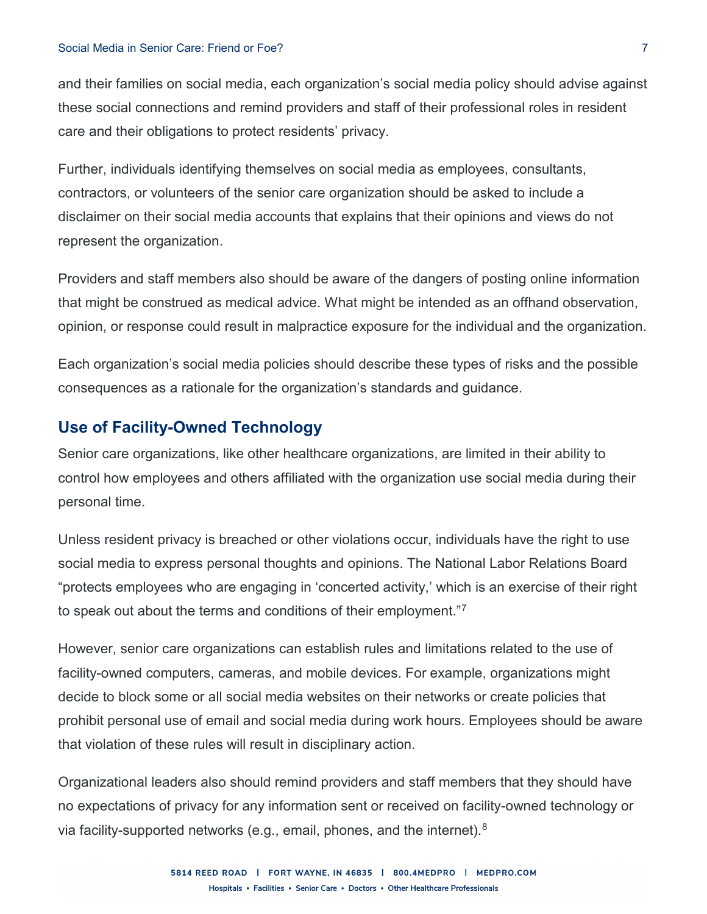#### Social Media in Senior Care: Friend or Foe? 7

and their families on social media, each organization's social media policy should advise against these social connections and remind providers and staff of their professional roles in resident care and their obligations to protect residents' privacy.

Further, individuals identifying themselves on social media as employees, consultants, contractors, or volunteers of the senior care organization should be asked to include a disclaimer on their social media accounts that explains that their opinions and views do not represent the organization.

Providers and staff members also should be aware of the dangers of posting online information that might be construed as medical advice. What might be intended as an offhand observation, opinion, or response could result in malpractice exposure for the individual and the organization.

Each organization's social media policies should describe these types of risks and the possible consequences as a rationale for the organization's standards and guidance.

## **Use of Facility-Owned Technology**

Senior care organizations, like other healthcare organizations, are limited in their ability to control how employees and others affiliated with the organization use social media during their personal time.

Unless resident privacy is breached or other violations occur, individuals have the right to use social media to express personal thoughts and opinions. The National Labor Relations Board "protects employees who are engaging in 'concerted activity,' which is an exercise of their right to speak out about the terms and conditions of their employment."[7](#page-11-4)

However, senior care organizations can establish rules and limitations related to the use of facility-owned computers, cameras, and mobile devices. For example, organizations might decide to block some or all social media websites on their networks or create policies that prohibit personal use of email and social media during work hours. Employees should be aware that violation of these rules will result in disciplinary action.

Organizational leaders also should remind providers and staff members that they should have no expectations of privacy for any information sent or received on facility-owned technology or via facility-supported networks (e.g., email, phones, and the internet). $8$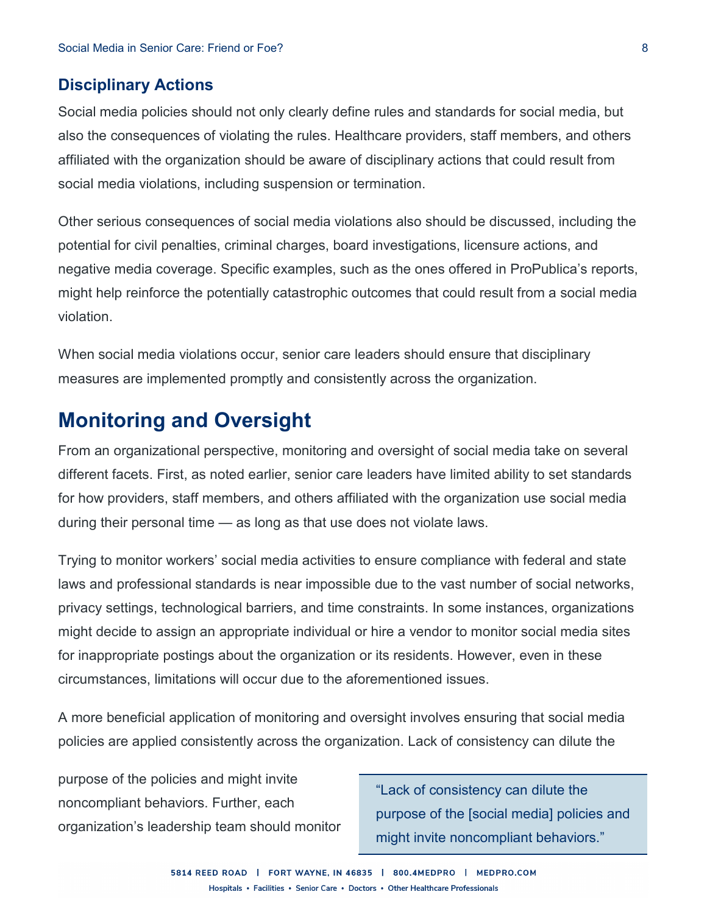### **Disciplinary Actions**

Social media policies should not only clearly define rules and standards for social media, but also the consequences of violating the rules. Healthcare providers, staff members, and others affiliated with the organization should be aware of disciplinary actions that could result from social media violations, including suspension or termination.

Other serious consequences of social media violations also should be discussed, including the potential for civil penalties, criminal charges, board investigations, licensure actions, and negative media coverage. Specific examples, such as the ones offered in ProPublica's reports, might help reinforce the potentially catastrophic outcomes that could result from a social media violation.

When social media violations occur, senior care leaders should ensure that disciplinary measures are implemented promptly and consistently across the organization.

# **Monitoring and Oversight**

From an organizational perspective, monitoring and oversight of social media take on several different facets. First, as noted earlier, senior care leaders have limited ability to set standards for how providers, staff members, and others affiliated with the organization use social media during their personal time — as long as that use does not violate laws.

Trying to monitor workers' social media activities to ensure compliance with federal and state laws and professional standards is near impossible due to the vast number of social networks, privacy settings, technological barriers, and time constraints. In some instances, organizations might decide to assign an appropriate individual or hire a vendor to monitor social media sites for inappropriate postings about the organization or its residents. However, even in these circumstances, limitations will occur due to the aforementioned issues.

A more beneficial application of monitoring and oversight involves ensuring that social media policies are applied consistently across the organization. Lack of consistency can dilute the

purpose of the policies and might invite noncompliant behaviors. Further, each organization's leadership team should monitor

"Lack of consistency can dilute the purpose of the [social media] policies and might invite noncompliant behaviors."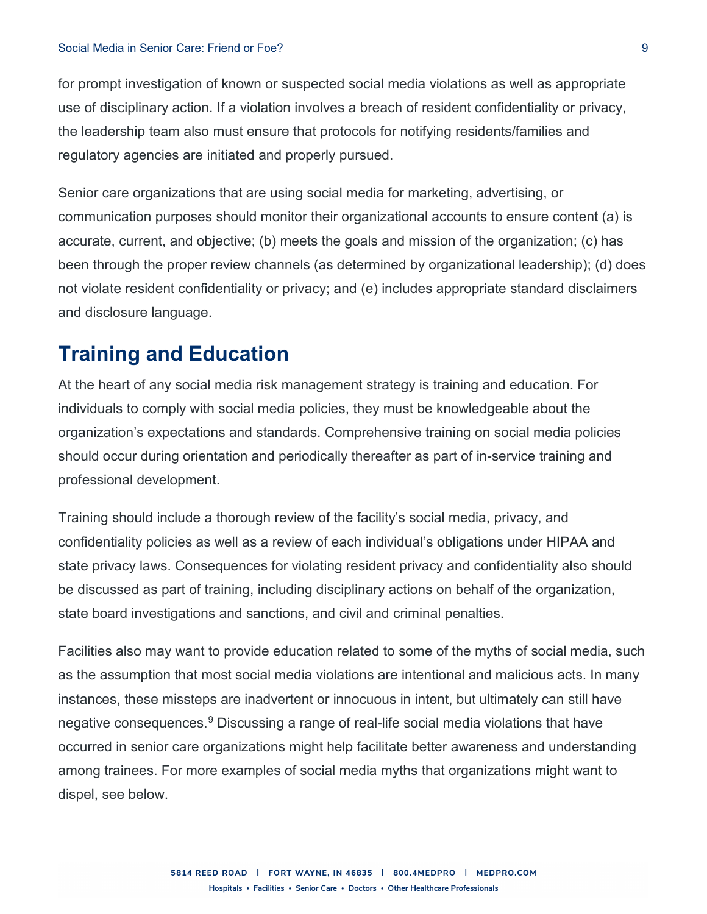for prompt investigation of known or suspected social media violations as well as appropriate use of disciplinary action. If a violation involves a breach of resident confidentiality or privacy, the leadership team also must ensure that protocols for notifying residents/families and regulatory agencies are initiated and properly pursued.

Senior care organizations that are using social media for marketing, advertising, or communication purposes should monitor their organizational accounts to ensure content (a) is accurate, current, and objective; (b) meets the goals and mission of the organization; (c) has been through the proper review channels (as determined by organizational leadership); (d) does not violate resident confidentiality or privacy; and (e) includes appropriate standard disclaimers and disclosure language.

# **Training and Education**

At the heart of any social media risk management strategy is training and education. For individuals to comply with social media policies, they must be knowledgeable about the organization's expectations and standards. Comprehensive training on social media policies should occur during orientation and periodically thereafter as part of in-service training and professional development.

Training should include a thorough review of the facility's social media, privacy, and confidentiality policies as well as a review of each individual's obligations under HIPAA and state privacy laws. Consequences for violating resident privacy and confidentiality also should be discussed as part of training, including disciplinary actions on behalf of the organization, state board investigations and sanctions, and civil and criminal penalties.

Facilities also may want to provide education related to some of the myths of social media, such as the assumption that most social media violations are intentional and malicious acts. In many instances, these missteps are inadvertent or innocuous in intent, but ultimately can still have negative consequences.<sup>[9](#page-11-6)</sup> Discussing a range of real-life social media violations that have occurred in senior care organizations might help facilitate better awareness and understanding among trainees. For more examples of social media myths that organizations might want to dispel, see below.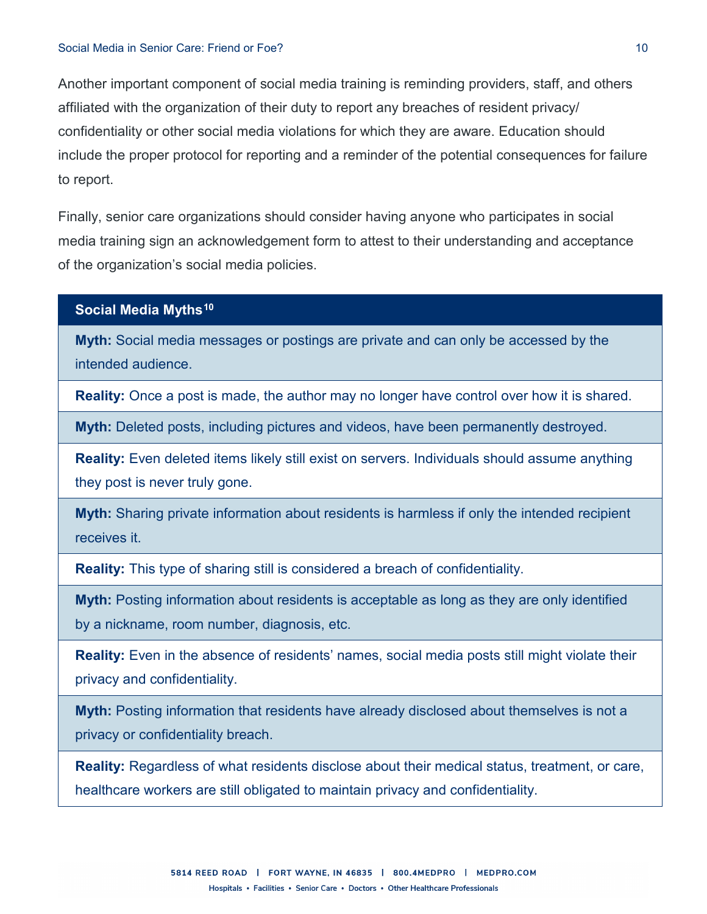Another important component of social media training is reminding providers, staff, and others affiliated with the organization of their duty to report any breaches of resident privacy/ confidentiality or other social media violations for which they are aware. Education should include the proper protocol for reporting and a reminder of the potential consequences for failure to report.

Finally, senior care organizations should consider having anyone who participates in social media training sign an acknowledgement form to attest to their understanding and acceptance of the organization's social media policies.

#### **Social Media Myths[10](#page-11-7)**

**Myth:** Social media messages or postings are private and can only be accessed by the intended audience.

**Reality:** Once a post is made, the author may no longer have control over how it is shared.

**Myth:** Deleted posts, including pictures and videos, have been permanently destroyed.

**Reality:** Even deleted items likely still exist on servers. Individuals should assume anything they post is never truly gone.

**Myth:** Sharing private information about residents is harmless if only the intended recipient receives it.

**Reality:** This type of sharing still is considered a breach of confidentiality.

**Myth:** Posting information about residents is acceptable as long as they are only identified by a nickname, room number, diagnosis, etc.

**Reality:** Even in the absence of residents' names, social media posts still might violate their privacy and confidentiality.

**Myth:** Posting information that residents have already disclosed about themselves is not a privacy or confidentiality breach.

**Reality:** Regardless of what residents disclose about their medical status, treatment, or care, healthcare workers are still obligated to maintain privacy and confidentiality.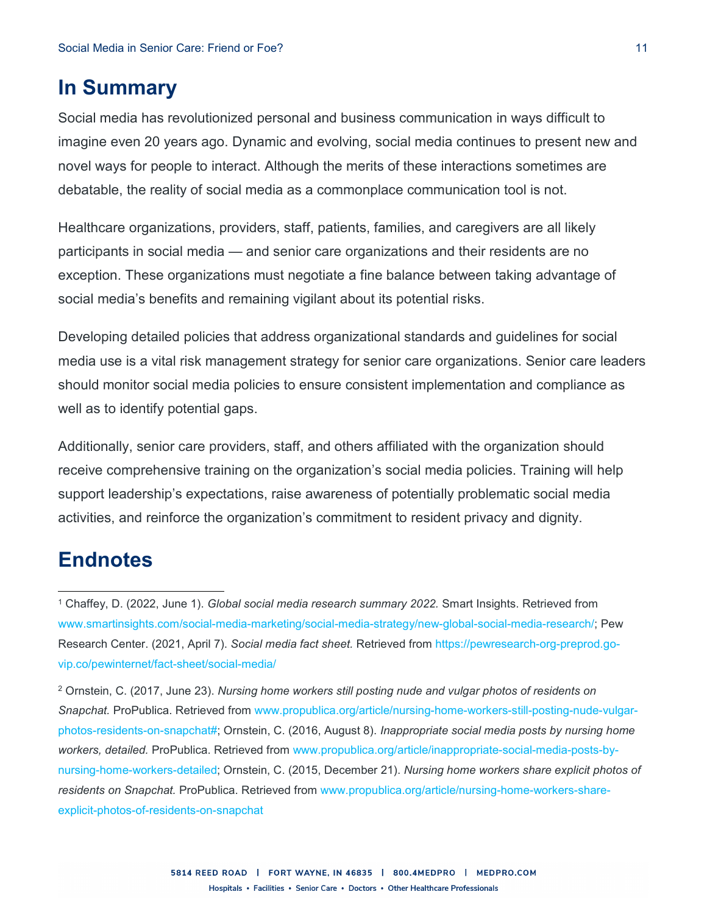# **In Summary**

Social media has revolutionized personal and business communication in ways difficult to imagine even 20 years ago. Dynamic and evolving, social media continues to present new and novel ways for people to interact. Although the merits of these interactions sometimes are debatable, the reality of social media as a commonplace communication tool is not.

Healthcare organizations, providers, staff, patients, families, and caregivers are all likely participants in social media — and senior care organizations and their residents are no exception. These organizations must negotiate a fine balance between taking advantage of social media's benefits and remaining vigilant about its potential risks.

Developing detailed policies that address organizational standards and guidelines for social media use is a vital risk management strategy for senior care organizations. Senior care leaders should monitor social media policies to ensure consistent implementation and compliance as well as to identify potential gaps.

Additionally, senior care providers, staff, and others affiliated with the organization should receive comprehensive training on the organization's social media policies. Training will help support leadership's expectations, raise awareness of potentially problematic social media activities, and reinforce the organization's commitment to resident privacy and dignity.

# **Endnotes**

 $\overline{a}$ 

<span id="page-10-1"></span><sup>2</sup> Ornstein, C. (2017, June 23). *Nursing home workers still posting nude and vulgar photos of residents on Snapchat.* ProPublica. Retrieved from [www.propublica.org/article/nursing-home-workers-still-posting-nude-vulgar](http://www.propublica.org/article/nursing-home-workers-still-posting-nude-vulgar-photos-residents-on-snapchat)[photos-residents-on-snapchat#;](http://www.propublica.org/article/nursing-home-workers-still-posting-nude-vulgar-photos-residents-on-snapchat) Ornstein, C. (2016, August 8). *Inappropriate social media posts by nursing home workers, detailed.* ProPublica. Retrieved from [www.propublica.org/article/inappropriate-social-media-posts-by](http://www.propublica.org/article/inappropriate-social-media-posts-by-nursing-home-workers-detailed)[nursing-home-workers-detailed;](http://www.propublica.org/article/inappropriate-social-media-posts-by-nursing-home-workers-detailed) Ornstein, C. (2015, December 21). *Nursing home workers share explicit photos of residents on Snapchat.* ProPublica. Retrieved from [www.propublica.org/article/nursing-home-workers-share](http://www.propublica.org/article/nursing-home-workers-share-explicit-photos-of-residents-on-snapchat)[explicit-photos-of-residents-on-snapchat](http://www.propublica.org/article/nursing-home-workers-share-explicit-photos-of-residents-on-snapchat)

<span id="page-10-0"></span><sup>1</sup> Chaffey, D. (2022, June 1). *Global social media research summary 2022.* Smart Insights. Retrieved from [www.smartinsights.com/social-media-marketing/social-media-strategy/new-global-social-media-research/;](http://www.smartinsights.com/social-media-marketing/social-media-strategy/new-global-social-media-research/) Pew Research Center. (2021, April 7). *Social media fact sheet.* Retrieved from [https://pewresearch-org-preprod.go](https://pewresearch-org-preprod.go-vip.co/pewinternet/fact-sheet/social-media/)[vip.co/pewinternet/fact-sheet/social-media/](https://pewresearch-org-preprod.go-vip.co/pewinternet/fact-sheet/social-media/)